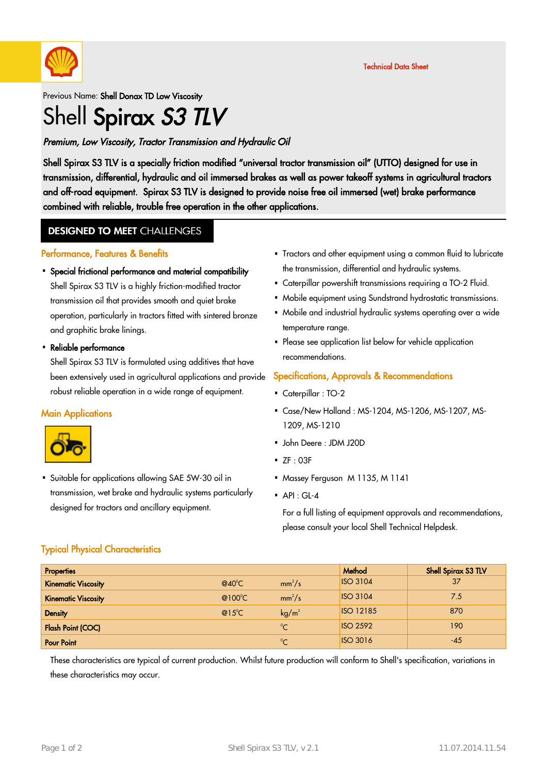

### Previous Name: Shell Donax TD Low Viscosity Shell Spirax S3 TLV

### Premium, Low Viscosity, Tractor Transmission and Hydraulic Oil

Shell Spirax S3 TLV is a specially friction modified "universal tractor transmission oil" (UTTO) designed for use in transmission, differential, hydraulic and oil immersed brakes as well as power takeoff systems in agricultural tractors and off-road equipment. Spirax S3 TLV is designed to provide noise free oil immersed (wet) brake performance combined with reliable, trouble free operation in the other applications.

### **DESIGNED TO MEET CHALLENGES**

#### Performance, Features & Benefits

• Special frictional performance and material compatibility

Shell Spirax S3 TLV is a highly friction-modified tractor transmission oil that provides smooth and quiet brake operation, particularly in tractors fitted with sintered bronze and graphitic brake linings.

# • Reliable performance

Shell Spirax S3 TLV is formulated using additives that have been extensively used in agricultural applications and provide robust reliable operation in a wide range of equipment.

#### **Main Applications**



• Suitable for applications allowing SAE 5W-30 oil in transmission, wet brake and hydraulic systems particularly designed for tractors and ancillary equipment.

- Tractors and other equipment using a common fluid to lubricate · the transmission, differential and hydraulic systems.
- Caterpillar powershift transmissions requiring a TO-2 Fluid.
- Mobile equipment using Sundstrand hydrostatic transmissions. ·
- Mobile and industrial hydraulic systems operating over a wide temperature range.
- · Please see application list below for vehicle application recommendations.

#### Specifications, Approvals & Recommendations

- Caterpillar : TO-2
- Case/New Holland : MS-1204, MS-1206, MS-1207, MS-· 1209, MS-1210
- John Deere : JDM J20D ·
- $\overline{\phantom{a}}$  ZF : 03F
- Massey Ferguson M 1135, M 1141
- $\bullet$  API : GL-4

For a full listing of equipment approvals and recommendations, please consult your local Shell Technical Helpdesk.

#### Typical Physical Characteristics

| <b>Properties</b>          |                  |                   | Method           | Shell Spirax S3 TLV |
|----------------------------|------------------|-------------------|------------------|---------------------|
| <b>Kinematic Viscosity</b> | @40 $^{\circ}$ C | $mm^2/s$          | <b>ISO 3104</b>  | 37                  |
| <b>Kinematic Viscosity</b> | @100 $\degree$ C | $mm^2/s$          | <b>ISO 3104</b>  | 7.5                 |
| <b>Density</b>             | $@15^{\circ}$ C  | kg/m <sup>3</sup> | <b>ISO 12185</b> | 870                 |
| <b>Flash Point (COC)</b>   |                  | $^{\circ}C$       | <b>ISO 2592</b>  | 190                 |
| <b>Pour Point</b>          |                  | $\mathcal{C}$     | <b>ISO 3016</b>  | -45                 |

These characteristics are typical of current production. Whilst future production will conform to Shell's specification, variations in these characteristics may occur.